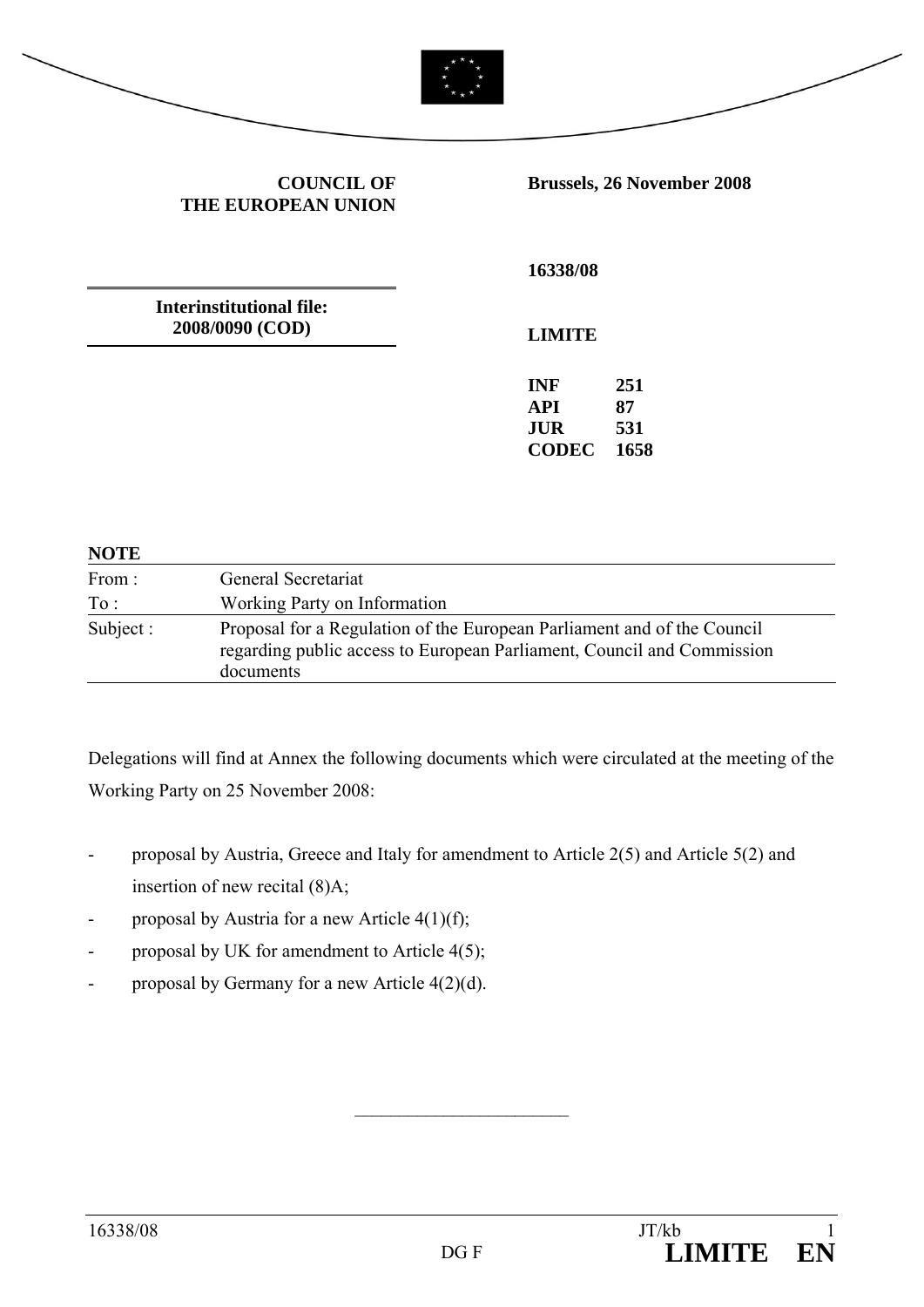

**COUNCIL OF THE EUROPEAN UNION** **Brussels, 26 November 2008** 

**Interinstitutional file: 2008/0090 (COD)** 

**16338/08** 

**LIMITE** 

**INF 251 API 87 JUR 531 CODEC 1658** 

#### **NOTE**

| From:     | General Secretariat<br>Working Party on Information                                                                                                            |  |  |
|-----------|----------------------------------------------------------------------------------------------------------------------------------------------------------------|--|--|
| To:       |                                                                                                                                                                |  |  |
| Subject : | Proposal for a Regulation of the European Parliament and of the Council<br>regarding public access to European Parliament, Council and Commission<br>documents |  |  |

Delegations will find at Annex the following documents which were circulated at the meeting of the Working Party on 25 November 2008:

- proposal by Austria, Greece and Italy for amendment to Article 2(5) and Article 5(2) and insertion of new recital (8)A;
- proposal by Austria for a new Article 4(1)(f);
- proposal by UK for amendment to Article 4(5);
- proposal by Germany for a new Article 4(2)(d).

 $\mathcal{L}_\text{max}$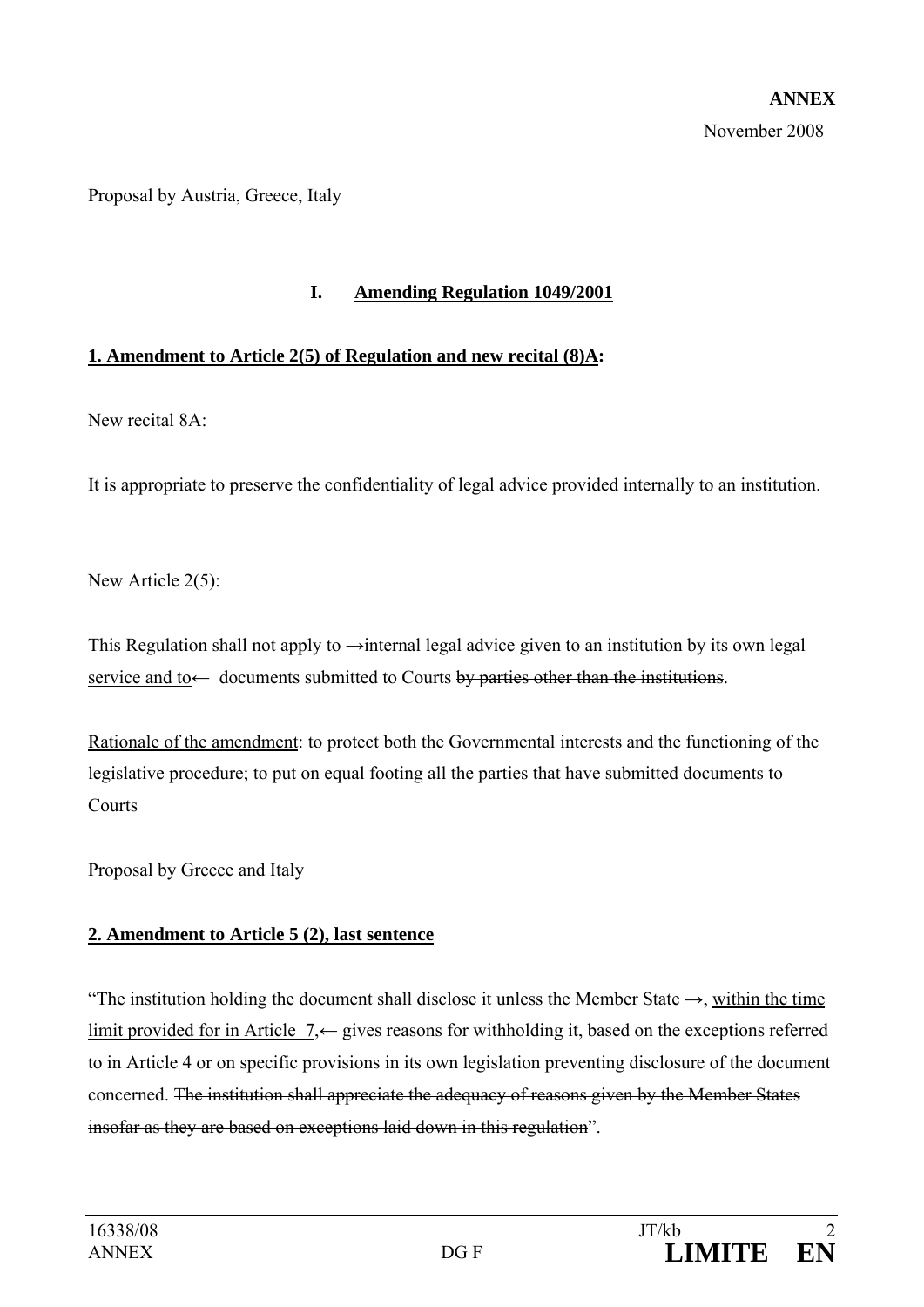Proposal by Austria, Greece, Italy

#### **I. Amending Regulation 1049/2001**

#### **1. Amendment to Article 2(5) of Regulation and new recital (8)A:**

New recital 8A:

It is appropriate to preserve the confidentiality of legal advice provided internally to an institution.

New Article 2(5):

This Regulation shall not apply to  $\rightarrow$ internal legal advice given to an institution by its own legal service and to ← documents submitted to Courts by parties other than the institutions.

Rationale of the amendment: to protect both the Governmental interests and the functioning of the legislative procedure; to put on equal footing all the parties that have submitted documents to **Courts** 

Proposal by Greece and Italy

### **2. Amendment to Article 5 (2), last sentence**

"The institution holding the document shall disclose it unless the Member State  $\rightarrow$ , within the time limit provided for in Article 7,← gives reasons for withholding it, based on the exceptions referred to in Article 4 or on specific provisions in its own legislation preventing disclosure of the document concerned. The institution shall appreciate the adequacy of reasons given by the Member States insofar as they are based on exceptions laid down in this regulation".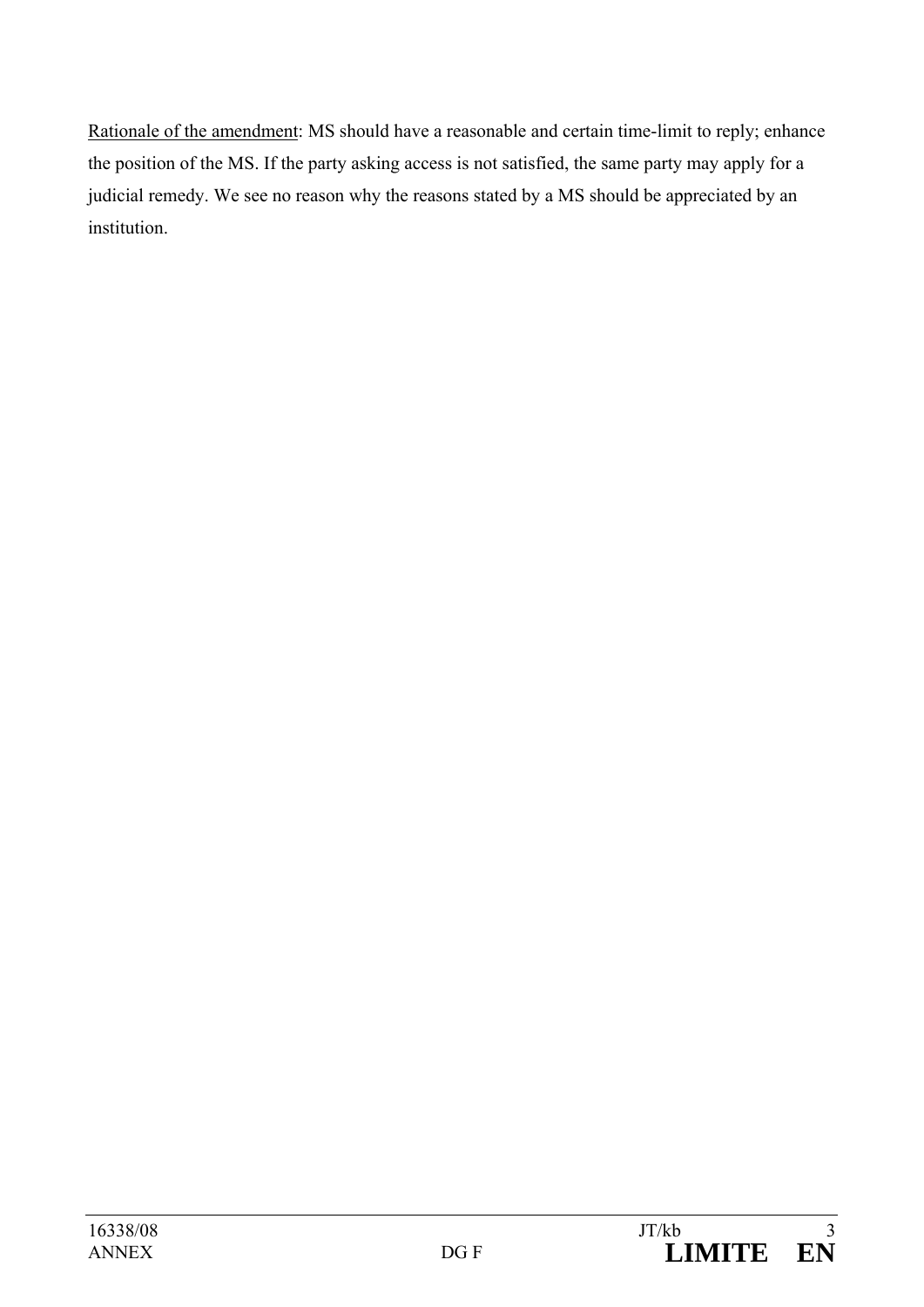Rationale of the amendment: MS should have a reasonable and certain time-limit to reply; enhance the position of the MS. If the party asking access is not satisfied, the same party may apply for a judicial remedy. We see no reason why the reasons stated by a MS should be appreciated by an institution.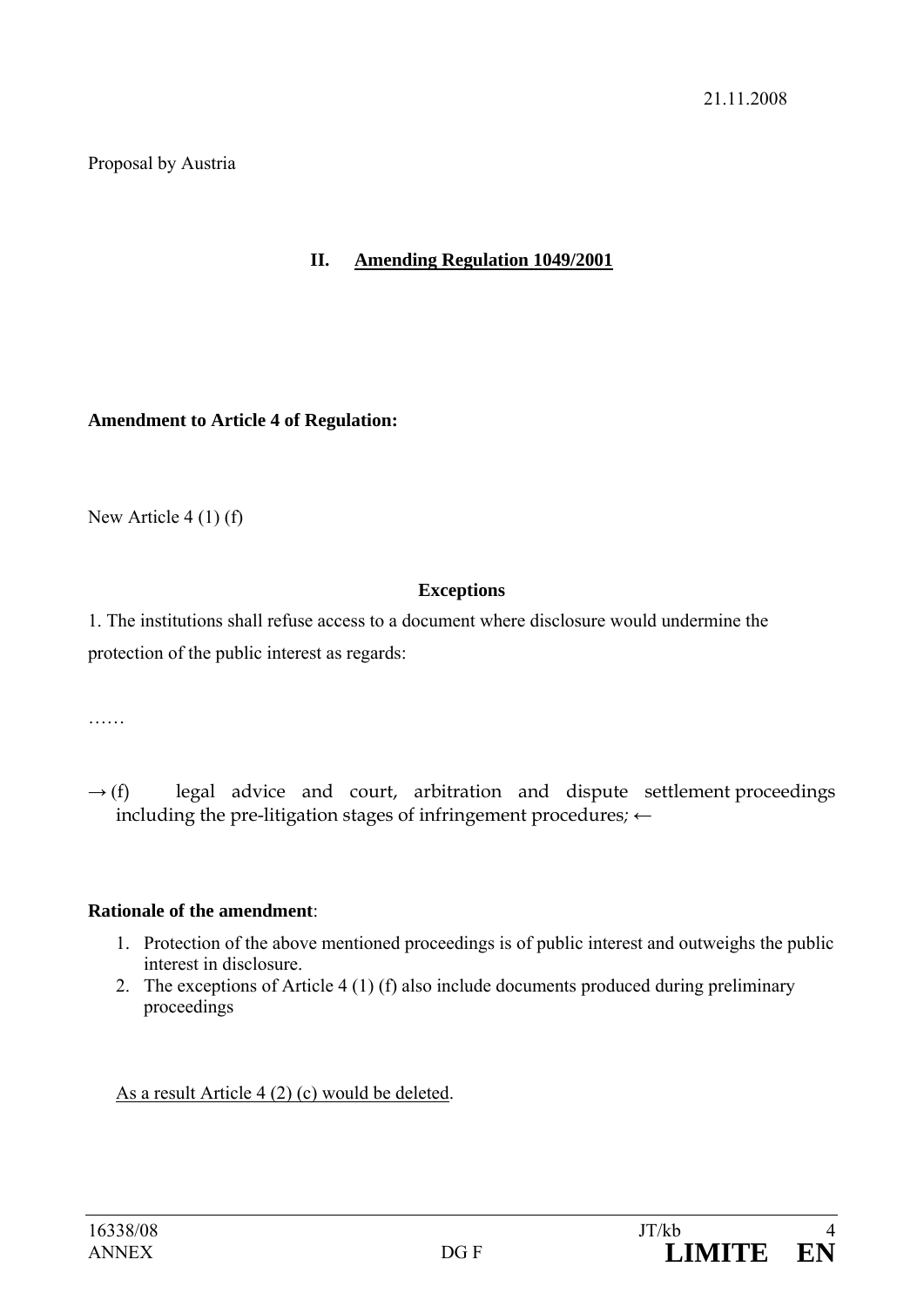Proposal by Austria

### **II. Amending Regulation 1049/2001**

**Amendment to Article 4 of Regulation:** 

New Article 4 (1) (f)

### **Exceptions**

1. The institutions shall refuse access to a document where disclosure would undermine the protection of the public interest as regards:

……

 $\rightarrow$  (f) legal advice and court, arbitration and dispute settlement proceedings including the pre-litigation stages of infringement procedures*;* ←

### **Rationale of the amendment**:

- 1. Protection of the above mentioned proceedings is of public interest and outweighs the public interest in disclosure.
- 2. The exceptions of Article 4 (1) (f) also include documents produced during preliminary proceedings

As a result Article 4 (2) (c) would be deleted.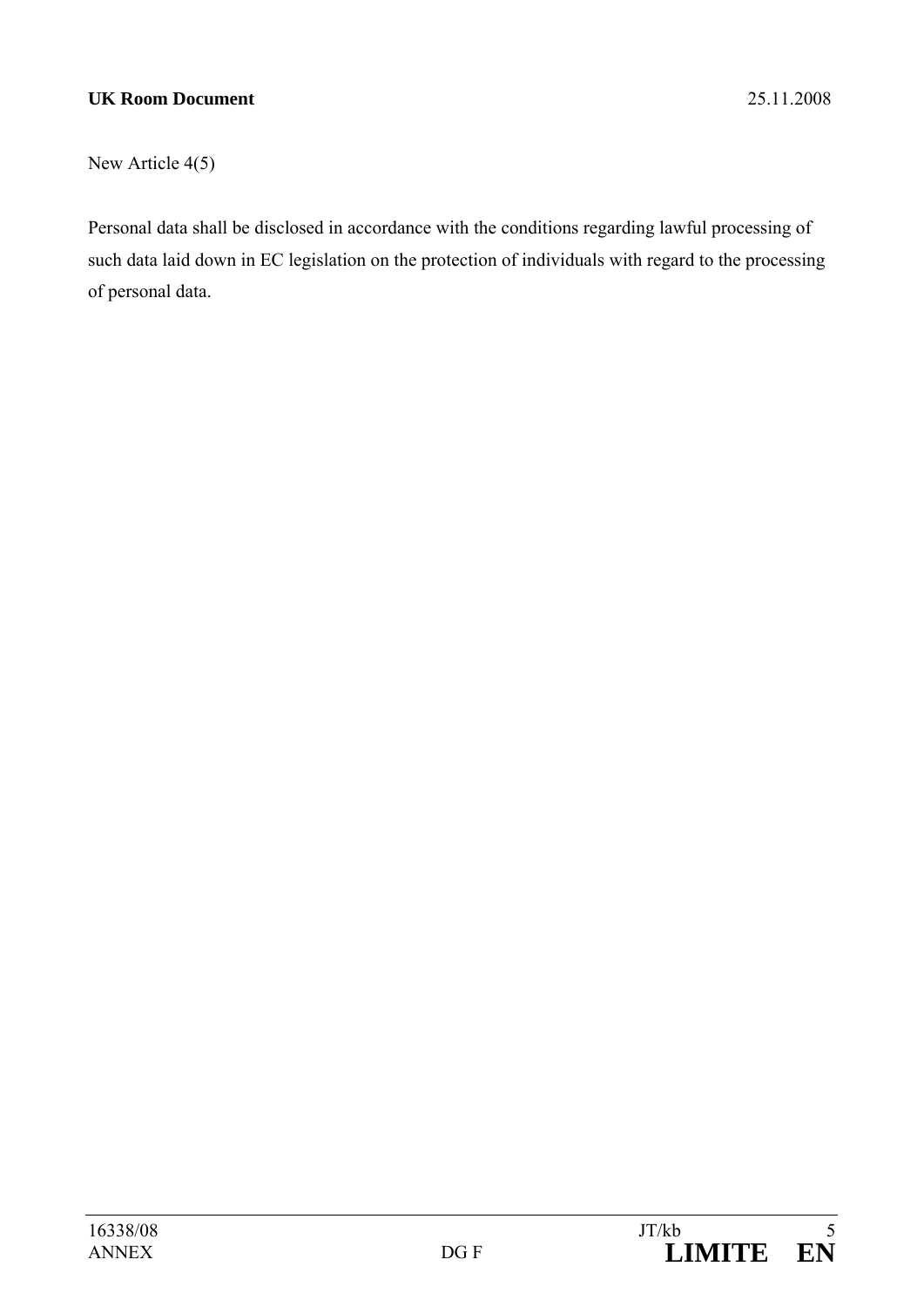#### **UK Room Document** 25.11.2008

New Article 4(5)

Personal data shall be disclosed in accordance with the conditions regarding lawful processing of such data laid down in EC legislation on the protection of individuals with regard to the processing of personal data.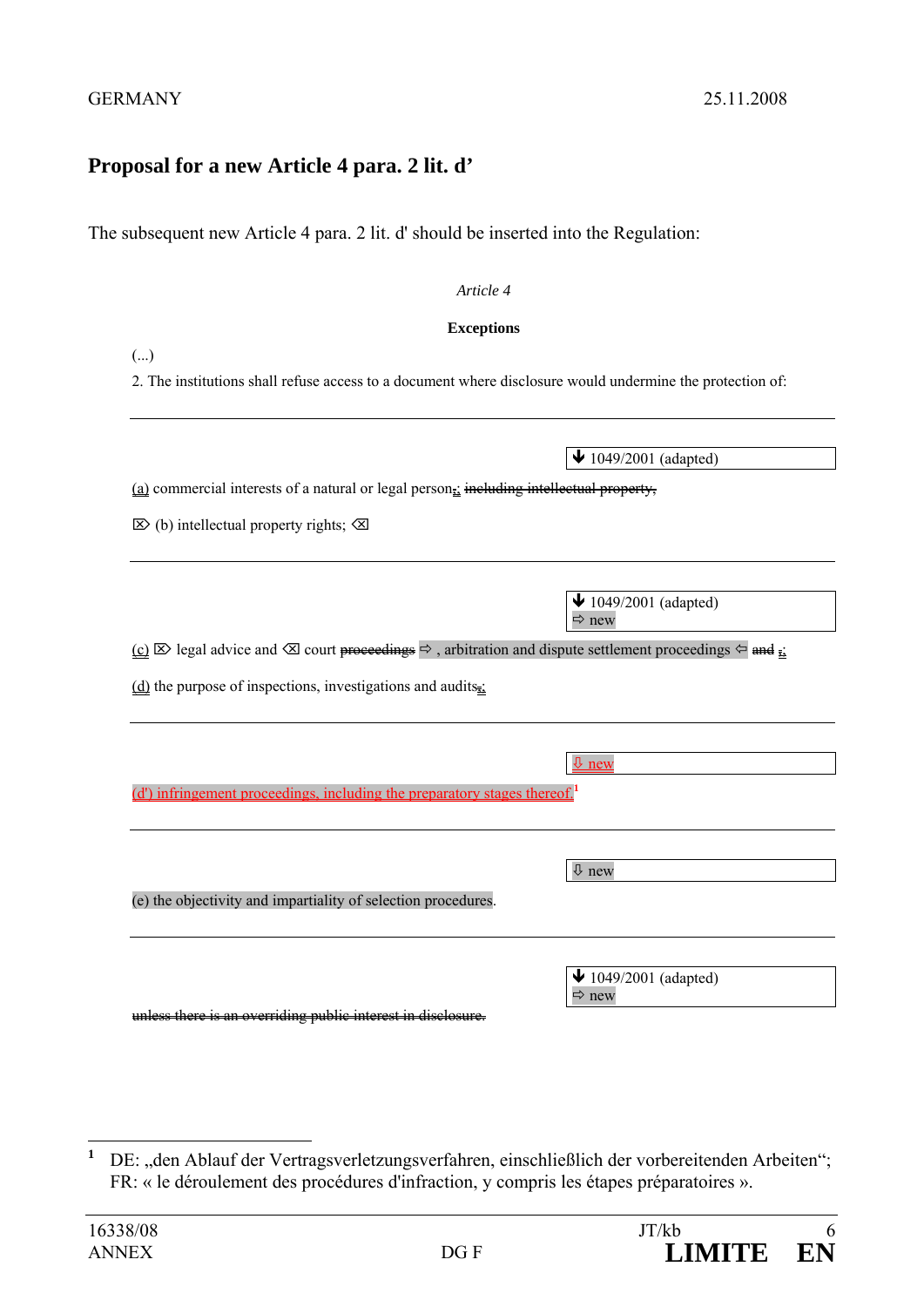## **Proposal for a new Article 4 para. 2 lit. d'**

The subsequent new Article 4 para. 2 lit. d' should be inserted into the Regulation:

#### *Article 4*

#### **Exceptions**

|  | . . | ł<br>۰. |
|--|-----|---------|

2. The institutions shall refuse access to a document where disclosure would undermine the protection of:

| (a) commercial interests of a natural or legal person <sub><math>\frac{1}{2}</math></sub> including intellectual property, |
|----------------------------------------------------------------------------------------------------------------------------|
|----------------------------------------------------------------------------------------------------------------------------|

 $\boxtimes$  (b) intellectual property rights;  $\boxtimes$ 

 $\bigvee$  1049/2001 (adapted)  $Arr$  new

new

 $\sqrt{1049/2001}$  (adapted)

 $(c)$   $\boxtimes$  legal advice and  $\boxtimes$  court proceedings  $\Rightarrow$ , arbitration and dispute settlement proceedings  $\Leftarrow$  and  $\frac{1}{22}$ 

 $(d)$  the purpose of inspections, investigations and audits<sub>i</sub>

(d') infringement proceedings, including the preparatory stages thereof.**<sup>1</sup>**

| (e) the objectivity and impartiality of selection procedures. | $\sqrt{2}$ new                                                 |
|---------------------------------------------------------------|----------------------------------------------------------------|
|                                                               | $\blacktriangleright$ 1049/2001 (adapted)<br>$\Rightarrow$ new |

 $\overline{\mathbf{u}}$  is an overriding public interest

 **1** DE: "den Ablauf der Vertragsverletzungsverfahren, einschließlich der vorbereitenden Arbeiten"; FR: « le déroulement des procédures d'infraction, y compris les étapes préparatoires ».